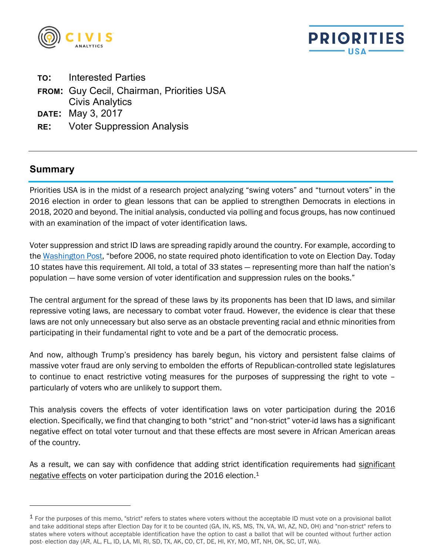



- **TO:** Interested Parties
- **FROM:** Guy Cecil, Chairman, Priorities USA Civis Analytics
- **DATE:** May 3, 2017
- **RE:** Voter Suppression Analysis

#### **Summary**

1

Priorities USA is in the midst of a research project analyzing "swing voters" and "turnout voters" in the 2016 election in order to glean lessons that can be applied to strengthen Democrats in elections in 2018, 2020 and beyond. The initial analysis, conducted via polling and focus groups, has now continued with an examination of the impact of voter identification laws.

Voter suppression and strict ID laws are spreading rapidly around the country. For example, according to the Washington Post, "before 2006, no state required photo identification to vote on Election Day. Today 10 states have this requirement. All told, a total of 33 states — representing more than half the nation's population — have some version of voter identification and suppression rules on the books."

The central argument for the spread of these laws by its proponents has been that ID laws, and similar repressive voting laws, are necessary to combat voter fraud. However, the evidence is clear that these laws are not only unnecessary but also serve as an obstacle preventing racial and ethnic minorities from participating in their fundamental right to vote and be a part of the democratic process.

And now, although Trump's presidency has barely begun, his victory and persistent false claims of massive voter fraud are only serving to embolden the efforts of Republican-controlled state legislatures to continue to enact restrictive voting measures for the purposes of suppressing the right to vote – particularly of voters who are unlikely to support them.

This analysis covers the effects of voter identification laws on voter participation during the 2016 election. Specifically, we find that changing to both "strict" and "non-strict" voter-id laws has a significant negative effect on total voter turnout and that these effects are most severe in African American areas of the country.

As a result, we can say with confidence that adding strict identification requirements had significant negative effects on voter participation during the 2016 election.<sup>1</sup>

<sup>&</sup>lt;sup>1</sup> For the purposes of this memo, "strict" refers to states where voters without the acceptable ID must vote on a provisional ballot and take additional steps after Election Day for it to be counted (GA, IN, KS, MS, TN, VA, WI, AZ, ND, OH) and "non-strict" refers to states where voters without acceptable identification have the option to cast a ballot that will be counted without further action post- election day (AR, AL, FL, ID, LA, MI, RI, SD, TX, AK, CO, CT, DE, HI, KY, MO, MT, NH, OK, SC, UT, WA).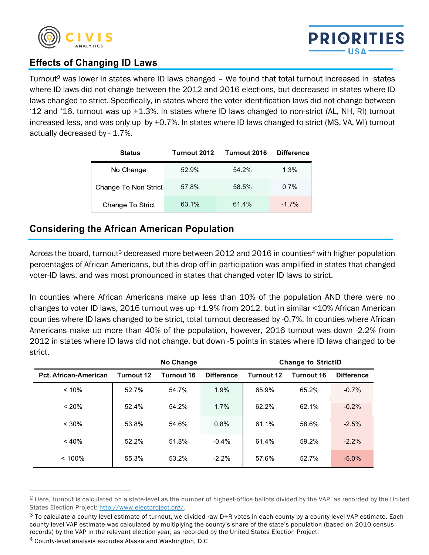



### **Effects of Changing ID Laws**

Turnout2 was lower in states where ID laws changed – We found that total turnout increased in states where ID laws did not change between the 2012 and 2016 elections, but decreased in states where ID laws changed to strict. Specifically, in states where the voter identification laws did not change between '12 and '16, turnout was up +1.3%. In states where ID laws changed to non-strict (AL, NH, RI) turnout increased less, and was only up by +0.7%. In states where ID laws changed to strict (MS, VA, WI) turnout actually decreased by - 1.7%.

| <b>Status</b>        | Turnout 2012 | Turnout 2016 | <b>Difference</b> |
|----------------------|--------------|--------------|-------------------|
| No Change            | 52.9%        | 54.2%        | 1.3%              |
| Change To Non Strict | 57.8%        | 58.5%        | 0.7%              |
| Change To Strict     | 63.1%        | 61.4%        | $-1.7%$           |

# **Considering the African American Population**

Across the board, turnout<sup>3</sup> decreased more between 2012 and 2016 in counties<sup>4</sup> with higher population percentages of African Americans, but this drop-off in participation was amplified in states that changed voter-ID laws, and was most pronounced in states that changed voter ID laws to strict.

In counties where African Americans make up less than 10% of the population AND there were no changes to voter ID laws, 2016 turnout was up +1.9% from 2012, but in similar <10% African American counties where ID laws changed to be strict, total turnout decreased by -0.7%. In counties where African Americans make up more than 40% of the population, however, 2016 turnout was down -2.2% from 2012 in states where ID laws did not change, but down -5 points in states where ID laws changed to be strict.

|                              | <b>No Change</b> |            | <b>Change to StrictID</b> |            |            |                   |
|------------------------------|------------------|------------|---------------------------|------------|------------|-------------------|
| <b>Pct. African-American</b> | Turnout 12       | Turnout 16 | <b>Difference</b>         | Turnout 12 | Turnout 16 | <b>Difference</b> |
| < 10%                        | 52.7%            | 54.7%      | 1.9%                      | 65.9%      | 65.2%      | $-0.7\%$          |
| < 20%                        | 52.4%            | 54.2%      | 1.7%                      | 62.2%      | 62.1%      | $-0.2%$           |
| < 30%                        | 53.8%            | 54.6%      | 0.8%                      | 61.1%      | 58.6%      | $-2.5%$           |
| < 40%                        | 52.2%            | 51.8%      | $-0.4%$                   | 61.4%      | 59.2%      | $-2.2%$           |
| < 100%                       | 55.3%            | 53.2%      | $-2.2%$                   | 57.6%      | 52.7%      | $-5.0%$           |

<sup>&</sup>lt;sup>2</sup> Here, turnout is calculated on a state-level as the number of highest-office ballots divided by the VAP, as recorded by the United States Election Project: http://www.electproject.org/.

-

 $3$  To calculate a county-level estimate of turnout, we divided raw D+R votes in each county by a county-level VAP estimate. Each county-level VAP estimate was calculated by multiplying the county's share of the state's population (based on 2010 census records) by the VAP in the relevant election year, as recorded by the United States Election Project.

<sup>4</sup> County-level analysis excludes Alaska and Washington, D.C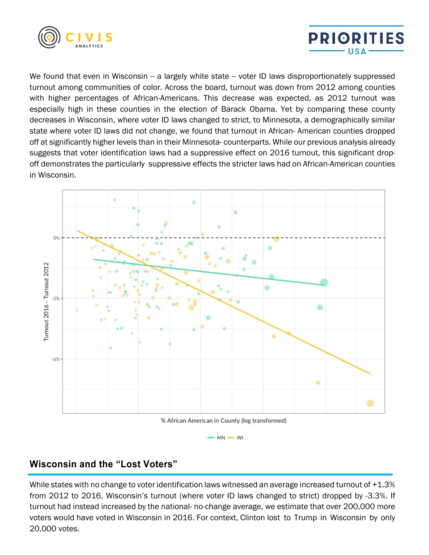



We found that even in Wisconsin -- a largely white state -- voter ID laws disproportionately suppressed turnout among communities of color. Across the board, turnout was down from 2012 among counties with higher percentages of African-Americans. This decrease was expected, as 2012 turnout was especially high in these counties in the election of Barack Obama. Yet by comparing these county decreases in Wisconsin, where voter ID laws changed to strict, to Minnesota, a demographically similar state where voter ID laws did not change, we found that turnout in African- American counties dropped off at significantly higher levels than in their Minnesota- counterparts. While our previous analysis already suggests that voter identification laws had a suppressive effect on 2016 turnout, this significant dropoff demonstrates the particularly suppressive effects the stricter laws had on African-American counties in Wisconsin.



 $-MN \rightarrow WI$ 

## **Wisconsin and the "Lost Voters"**

While states with no change to voter identification laws witnessed an average increased turnout of +1.3% from 2012 to 2016, Wisconsin's turnout (where voter ID laws changed to strict) dropped by -3.3%. If turnout had instead increased by the national- no-change average, we estimate that over 200,000 more voters would have voted in Wisconsin in 2016. For context, Clinton lost to Trump in Wisconsin by only 20,000 votes.